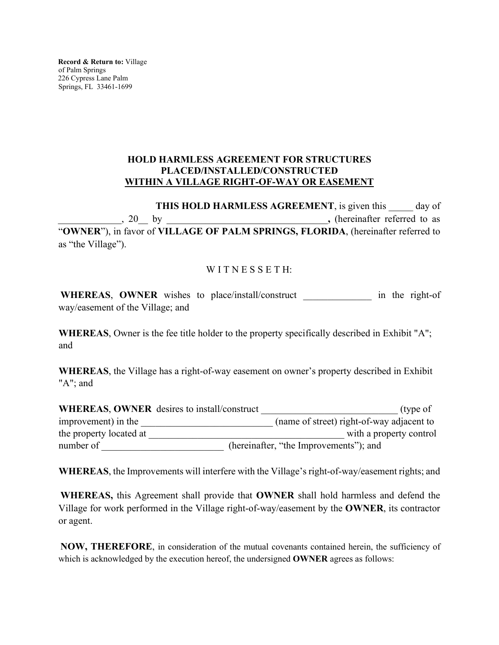**Record & Return to:** Village of Palm Springs 226 Cypress Lane Palm Springs, FL 33461-1699

## **HOLD HARMLESS AGREEMENT FOR STRUCTURES PLACED/INSTALLED/CONSTRUCTED WITHIN A VILLAGE RIGHT-OF-WAY OR EASEMENT**

**THIS HOLD HARMLESS AGREEMENT**, is given this day of \_\_\_\_\_\_\_\_\_\_\_\_\_, 20\_\_ by \_\_\_\_\_\_\_\_\_\_\_\_\_\_\_\_\_\_\_\_\_\_\_\_\_\_\_\_\_\_\_\_\_**,** (hereinafter referred to as "**OWNER**"), in favor of **VILLAGE OF PALM SPRINGS, FLORIDA**, (hereinafter referred to as "the Village").

## WITNESSETH:

WHEREAS, OWNER wishes to place/install/construct in the right-of way/easement of the Village; and

**WHEREAS**, Owner is the fee title holder to the property specifically described in Exhibit "A"; and

**WHEREAS**, the Village has a right-of-way easement on owner's property described in Exhibit "A"; and

| <b>WHEREAS, OWNER</b> desires to install/construct | (type of                                  |
|----------------------------------------------------|-------------------------------------------|
| improvement) in the                                | (name of street) right-of-way adjacent to |
| the property located at                            | with a property control                   |
| number of                                          | (hereinafter, "the Improvements"); and    |

**WHEREAS**, the Improvements will interfere with the Village's right-of-way/easement rights; and

**WHEREAS,** this Agreement shall provide that **OWNER** shall hold harmless and defend the Village for work performed in the Village right-of-way/easement by the **OWNER**, its contractor or agent.

**NOW, THEREFORE**, in consideration of the mutual covenants contained herein, the sufficiency of which is acknowledged by the execution hereof, the undersigned **OWNER** agrees as follows: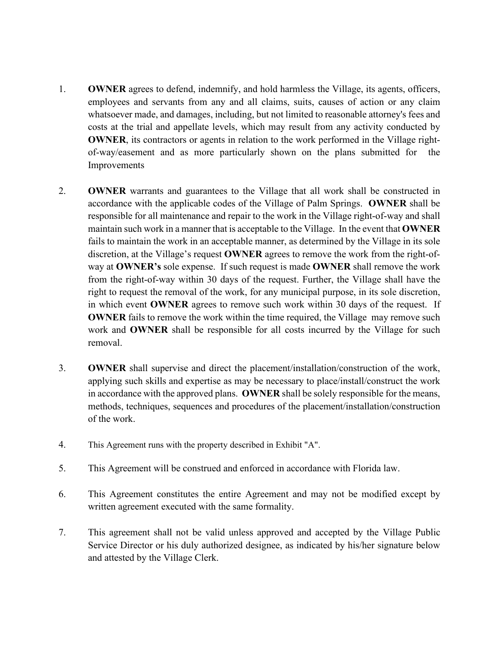- 1. **OWNER** agrees to defend, indemnify, and hold harmless the Village, its agents, officers, employees and servants from any and all claims, suits, causes of action or any claim whatsoever made, and damages, including, but not limited to reasonable attorney's fees and costs at the trial and appellate levels, which may result from any activity conducted by **OWNER**, its contractors or agents in relation to the work performed in the Village rightof-way/easement and as more particularly shown on the plans submitted for the Improvements
- 2. **OWNER** warrants and guarantees to the Village that all work shall be constructed in accordance with the applicable codes of the Village of Palm Springs. **OWNER** shall be responsible for all maintenance and repair to the work in the Village right-of-way and shall maintain such work in a manner that is acceptable to the Village. In the event that **OWNER** fails to maintain the work in an acceptable manner, as determined by the Village in its sole discretion, at the Village's request **OWNER** agrees to remove the work from the right-ofway at **OWNER's** sole expense. If such request is made **OWNER** shall remove the work from the right-of-way within 30 days of the request. Further, the Village shall have the right to request the removal of the work, for any municipal purpose, in its sole discretion, in which event **OWNER** agrees to remove such work within 30 days of the request. If **OWNER** fails to remove the work within the time required, the Village may remove such work and **OWNER** shall be responsible for all costs incurred by the Village for such removal.
- 3. **OWNER** shall supervise and direct the placement/installation/construction of the work, applying such skills and expertise as may be necessary to place/install/construct the work in accordance with the approved plans. **OWNER** shall be solely responsible for the means, methods, techniques, sequences and procedures of the placement/installation/construction of the work.
- 4. This Agreement runs with the property described in Exhibit "A".
- 5. This Agreement will be construed and enforced in accordance with Florida law.
- 6. This Agreement constitutes the entire Agreement and may not be modified except by written agreement executed with the same formality.
- 7. This agreement shall not be valid unless approved and accepted by the Village Public Service Director or his duly authorized designee, as indicated by his/her signature below and attested by the Village Clerk.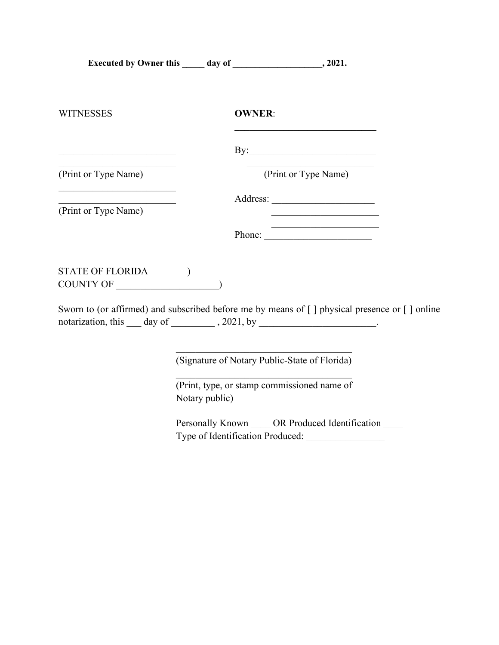| <b>WITNESSES</b>                                                                | <b>OWNER:</b>                                                                                                                                                             |
|---------------------------------------------------------------------------------|---------------------------------------------------------------------------------------------------------------------------------------------------------------------------|
|                                                                                 |                                                                                                                                                                           |
| (Print or Type Name)                                                            | (Print or Type Name)                                                                                                                                                      |
| <u> 1989 - Johann Barbara, martin amerikan basar da</u><br>(Print or Type Name) | <u> 1980 - Johann John Stein, mars an deus Amerikaansk kommunister (</u>                                                                                                  |
|                                                                                 | Phone:                                                                                                                                                                    |
| <b>STATE OF FLORIDA</b><br>COUNTY OF                                            | $\mathcal{E}$                                                                                                                                                             |
|                                                                                 | Sworn to (or affirmed) and subscribed before me by means of [] physical presence or [] online<br>notarization, this ___ day of __________, 2021, by ____________________. |
|                                                                                 | (Signature of Notary Public-State of Florida)                                                                                                                             |
|                                                                                 | (Print, type, or stamp commissioned name of<br>Notary public)                                                                                                             |

Personally Known \_\_\_\_\_ OR Produced Identification \_\_\_\_ Type of Identification Produced: \_\_\_\_\_\_\_\_\_\_\_\_\_\_\_\_